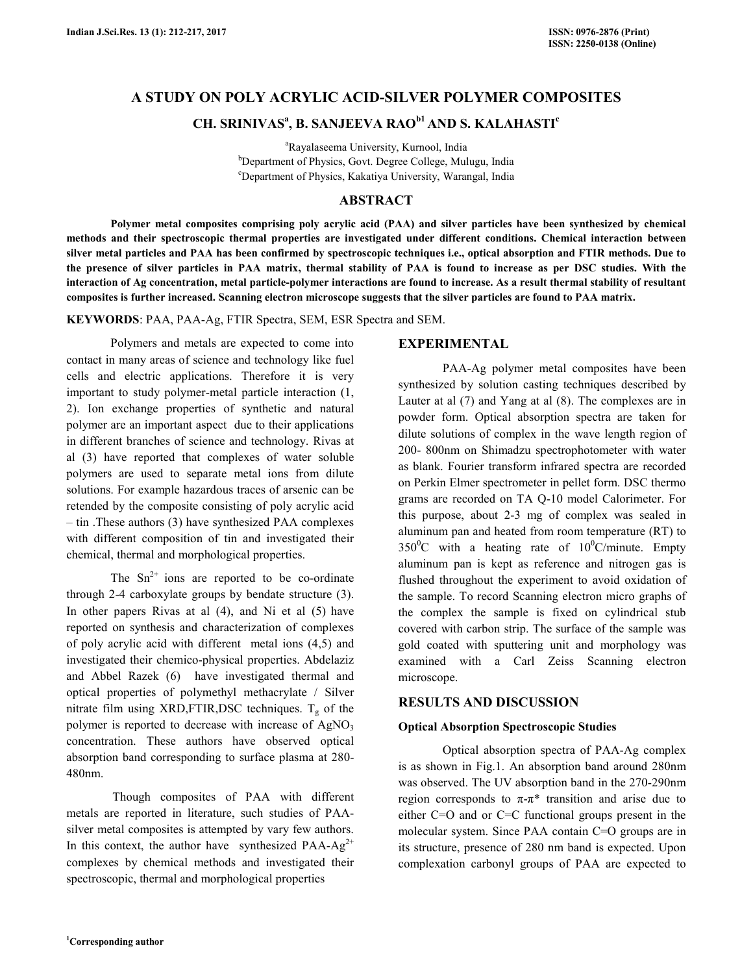## **A STUDY ON POLY ACRYLIC ACID-SILVER POLYMER COMPOSITES**

# **CH. SRINIVAS<sup>a</sup> , B. SANJEEVA RAOb1 AND S. KALAHASTI<sup>c</sup>**

<sup>a</sup>Rayalaseema University, Kurnool, India <sup>b</sup>Department of Physics, Govt. Degree College, Mulugu, India <sup>c</sup>Department of Physics, Kakatiya University, Warangal, India

### **ABSTRACT**

 **Polymer metal composites comprising poly acrylic acid (PAA) and silver particles have been synthesized by chemical methods and their spectroscopic thermal properties are investigated under different conditions. Chemical interaction between silver metal particles and PAA has been confirmed by spectroscopic techniques i.e., optical absorption and FTIR methods. Due to the presence of silver particles in PAA matrix, thermal stability of PAA is found to increase as per DSC studies. With the interaction of Ag concentration, metal particle-polymer interactions are found to increase. As a result thermal stability of resultant composites is further increased. Scanning electron microscope suggests that the silver particles are found to PAA matrix.** 

**KEYWORDS**: PAA, PAA-Ag, FTIR Spectra, SEM, ESR Spectra and SEM.

 Polymers and metals are expected to come into contact in many areas of science and technology like fuel cells and electric applications. Therefore it is very important to study polymer-metal particle interaction (1, 2). Ion exchange properties of synthetic and natural polymer are an important aspect due to their applications in different branches of science and technology. Rivas at al (3) have reported that complexes of water soluble polymers are used to separate metal ions from dilute solutions. For example hazardous traces of arsenic can be retended by the composite consisting of poly acrylic acid – tin .These authors (3) have synthesized PAA complexes with different composition of tin and investigated their chemical, thermal and morphological properties.

The  $Sn^{2+}$  ions are reported to be co-ordinate through 2-4 carboxylate groups by bendate structure (3). In other papers Rivas at al (4), and Ni et al (5) have reported on synthesis and characterization of complexes of poly acrylic acid with different metal ions (4,5) and investigated their chemico-physical properties. Abdelaziz and Abbel Razek (6) have investigated thermal and optical properties of polymethyl methacrylate / Silver nitrate film using XRD, FTIR, DSC techniques.  $T_g$  of the polymer is reported to decrease with increase of AgNO<sub>3</sub> concentration. These authors have observed optical absorption band corresponding to surface plasma at 280- 480nm.

 Though composites of PAA with different metals are reported in literature, such studies of PAAsilver metal composites is attempted by vary few authors. In this context, the author have synthesized  $PAA-Ag^{2+}$ complexes by chemical methods and investigated their spectroscopic, thermal and morphological properties

### **EXPERIMENTAL**

 PAA-Ag polymer metal composites have been synthesized by solution casting techniques described by Lauter at al (7) and Yang at al (8). The complexes are in powder form. Optical absorption spectra are taken for dilute solutions of complex in the wave length region of 200- 800nm on Shimadzu spectrophotometer with water as blank. Fourier transform infrared spectra are recorded on Perkin Elmer spectrometer in pellet form. DSC thermo grams are recorded on TA Q-10 model Calorimeter. For this purpose, about 2-3 mg of complex was sealed in aluminum pan and heated from room temperature (RT) to  $350^{\circ}$ C with a heating rate of  $10^{\circ}$ C/minute. Empty aluminum pan is kept as reference and nitrogen gas is flushed throughout the experiment to avoid oxidation of the sample. To record Scanning electron micro graphs of the complex the sample is fixed on cylindrical stub covered with carbon strip. The surface of the sample was gold coated with sputtering unit and morphology was examined with a Carl Zeiss Scanning electron microscope.

#### **RESULTS AND DISCUSSION**

#### **Optical Absorption Spectroscopic Studies**

 Optical absorption spectra of PAA-Ag complex is as shown in Fig.1. An absorption band around 280nm was observed. The UV absorption band in the 270-290nm region corresponds to  $π$ -π<sup>\*</sup> transition and arise due to either C=O and or C=C functional groups present in the molecular system. Since PAA contain C=O groups are in its structure, presence of 280 nm band is expected. Upon complexation carbonyl groups of PAA are expected to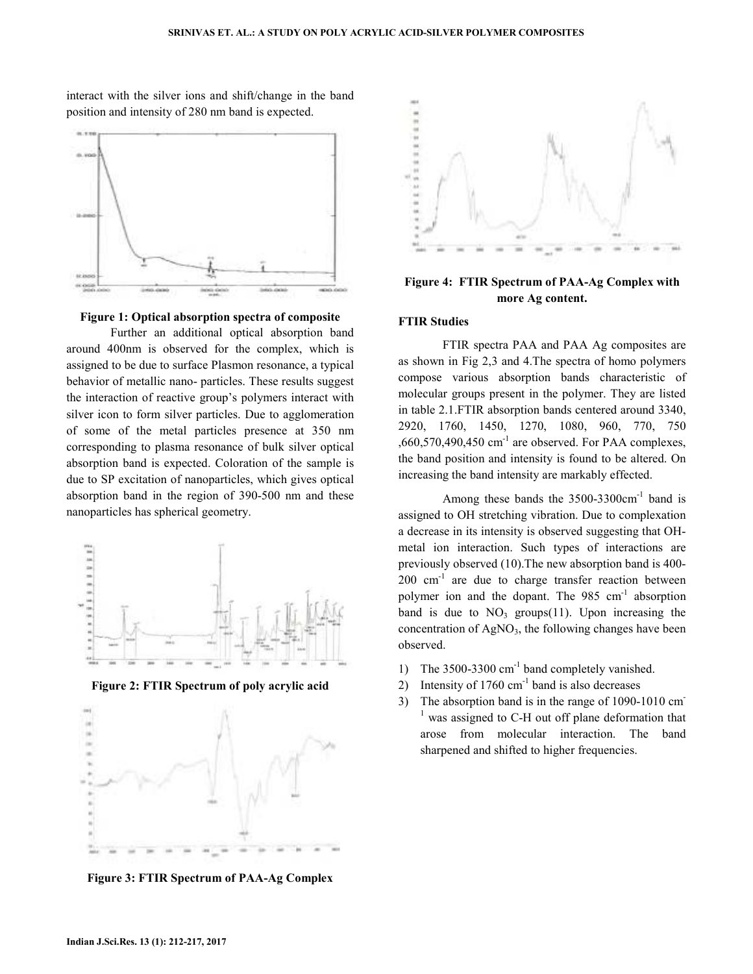interact with the silver ions and shift/change in the band position and intensity of 280 nm band is expected.





 Further an additional optical absorption band around 400nm is observed for the complex, which is assigned to be due to surface Plasmon resonance, a typical behavior of metallic nano- particles. These results suggest the interaction of reactive group's polymers interact with silver icon to form silver particles. Due to agglomeration of some of the metal particles presence at 350 nm corresponding to plasma resonance of bulk silver optical absorption band is expected. Coloration of the sample is due to SP excitation of nanoparticles, which gives optical absorption band in the region of 390-500 nm and these nanoparticles has spherical geometry.



**Figure 2: FTIR Spectrum of poly acrylic acid** 



**Figure 3: FTIR Spectrum of PAA-Ag Complex** 



**Figure 4: FTIR Spectrum of PAA-Ag Complex with more Ag content.**

#### **FTIR Studies**

 FTIR spectra PAA and PAA Ag composites are as shown in Fig 2,3 and 4.The spectra of homo polymers compose various absorption bands characteristic of molecular groups present in the polymer. They are listed in table 2.1.FTIR absorption bands centered around 3340, 2920, 1760, 1450, 1270, 1080, 960, 770, 750  $,660,570,490,450$  cm<sup>-1</sup> are observed. For PAA complexes, the band position and intensity is found to be altered. On increasing the band intensity are markably effected.

Among these bands the  $3500-3300 \text{cm}^{-1}$  band is assigned to OH stretching vibration. Due to complexation a decrease in its intensity is observed suggesting that OHmetal ion interaction. Such types of interactions are previously observed (10).The new absorption band is 400-  $200 \text{ cm}^{-1}$  are due to charge transfer reaction between polymer ion and the dopant. The 985 cm<sup>-1</sup> absorption band is due to  $NO_3$  groups(11). Upon increasing the concentration of AgNO<sub>3</sub>, the following changes have been observed.

- 1) The 3500-3300 cm<sup>-1</sup> band completely vanished.
- 2) Intensity of  $1760 \text{ cm}^{-1}$  band is also decreases
- 3) The absorption band is in the range of 1090-1010 cm-<sup>1</sup> was assigned to C-H out off plane deformation that arose from molecular interaction. The band sharpened and shifted to higher frequencies.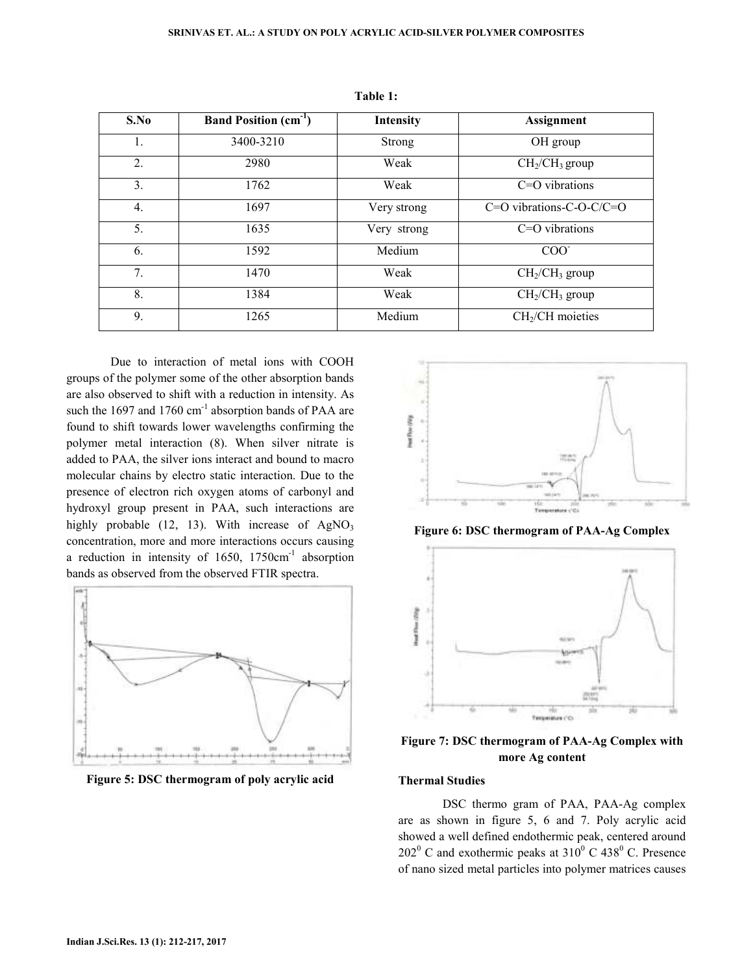| S.No             | <b>Band Position</b> $(cm-1)$ | Intensity     | Assignment                             |
|------------------|-------------------------------|---------------|----------------------------------------|
| 1.               | 3400-3210                     | <b>Strong</b> | OH group                               |
| 2.               | 2980                          | Weak          | CH <sub>2</sub> /CH <sub>3</sub> group |
| 3.               | 1762                          | Weak          | $C=O$ vibrations                       |
| $\overline{4}$ . | 1697                          | Very strong   | $C=O$ vibrations-C-O-C/C=O             |
| 5 <sub>1</sub>   | 1635                          | Very strong   | $C=O$ vibrations                       |
| 6.               | 1592                          | Medium        | COO                                    |
| 7 <sub>1</sub>   | 1470                          | Weak          | $CH2/CH3$ group                        |
| 8.               | 1384                          | Weak          | $CH2/CH3$ group                        |
| 9.               | 1265                          | Medium        | $CH2/CH$ moieties                      |

**Table 1:** 

 Due to interaction of metal ions with COOH groups of the polymer some of the other absorption bands are also observed to shift with a reduction in intensity. As such the 1697 and 1760  $\text{cm}^{-1}$  absorption bands of PAA are found to shift towards lower wavelengths confirming the polymer metal interaction (8). When silver nitrate is added to PAA, the silver ions interact and bound to macro molecular chains by electro static interaction. Due to the presence of electron rich oxygen atoms of carbonyl and hydroxyl group present in PAA, such interactions are highly probable  $(12, 13)$ . With increase of AgNO<sub>3</sub> concentration, more and more interactions occurs causing a reduction in intensity of  $1650$ ,  $1750 \text{cm}^{-1}$  absorption bands as observed from the observed FTIR spectra.



**Figure 5: DSC thermogram of poly acrylic acid** 



**Figure 6: DSC thermogram of PAA-Ag Complex** 



**Figure 7: DSC thermogram of PAA-Ag Complex with more Ag content**

### **Thermal Studies**

 DSC thermo gram of PAA, PAA-Ag complex are as shown in figure 5, 6 and 7. Poly acrylic acid showed a well defined endothermic peak, centered around  $202^{\circ}$  C and exothermic peaks at  $310^{\circ}$  C 438<sup>°</sup> C. Presence of nano sized metal particles into polymer matrices causes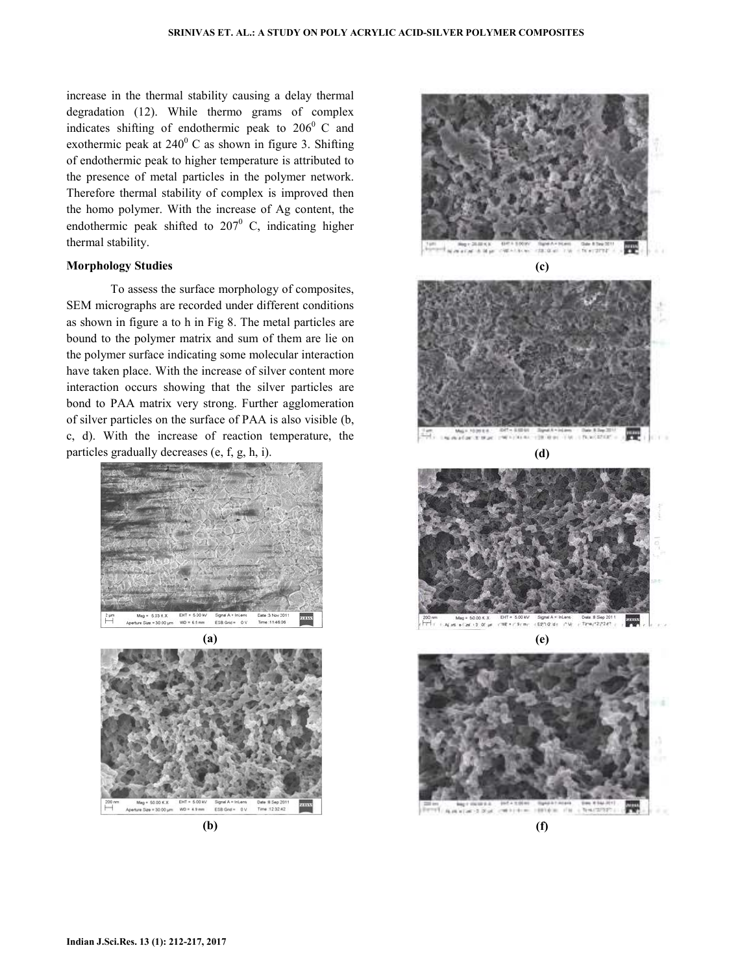increase in the thermal stability causing a delay thermal degradation (12). While thermo grams of complex indicates shifting of endothermic peak to  $206^{\circ}$  C and exothermic peak at  $240^{\circ}$  C as shown in figure 3. Shifting of endothermic peak to higher temperature is attributed to the presence of metal particles in the polymer network. Therefore thermal stability of complex is improved then the homo polymer. With the increase of Ag content, the endothermic peak shifted to  $207^{\circ}$  C, indicating higher thermal stability.

#### **Morphology Studies**

 To assess the surface morphology of composites, SEM micrographs are recorded under different conditions as shown in figure a to h in Fig 8. The metal particles are bound to the polymer matrix and sum of them are lie on the polymer surface indicating some molecular interaction have taken place. With the increase of silver content more interaction occurs showing that the silver particles are bond to PAA matrix very strong. Further agglomeration of silver particles on the surface of PAA is also visible (b, c, d). With the increase of reaction temperature, the particles gradually decreases (e, f, g, h, i).





**(b)** 

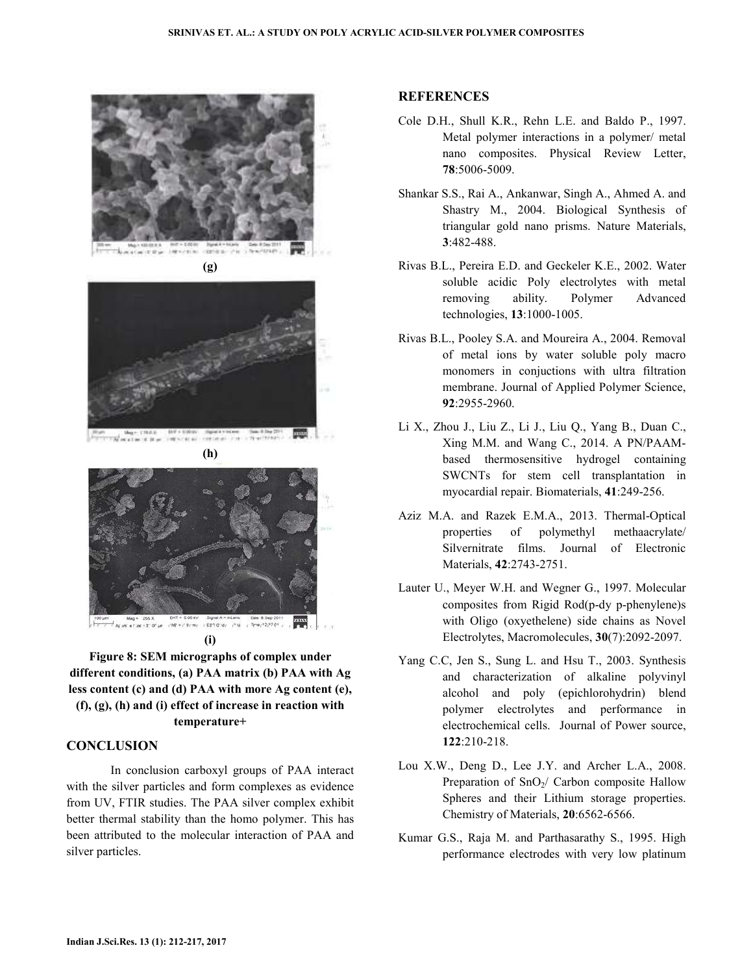





**(h)** 



**(i)**

**Figure 8: SEM micrographs of complex under different conditions, (a) PAA matrix (b) PAA with Ag less content (c) and (d) PAA with more Ag content (e), (f), (g), (h) and (i) effect of increase in reaction with temperature+**

### **CONCLUSION**

 In conclusion carboxyl groups of PAA interact with the silver particles and form complexes as evidence from UV, FTIR studies. The PAA silver complex exhibit better thermal stability than the homo polymer. This has been attributed to the molecular interaction of PAA and silver particles.

### **REFERENCES**

- Cole D.H., Shull K.R., Rehn L.E. and Baldo P., 1997. Metal polymer interactions in a polymer/ metal nano composites. Physical Review Letter, **78**:5006-5009.
- Shankar S.S., Rai A., Ankanwar, Singh A., Ahmed A. and Shastry M., 2004. Biological Synthesis of triangular gold nano prisms. Nature Materials, **3**:482-488.
- Rivas B.L., Pereira E.D. and Geckeler K.E., 2002. Water soluble acidic Poly electrolytes with metal removing ability. Polymer Advanced technologies, **13**:1000-1005.
- Rivas B.L., Pooley S.A. and Moureira A., 2004. Removal of metal ions by water soluble poly macro monomers in conjuctions with ultra filtration membrane. Journal of Applied Polymer Science, **92**:2955-2960.
- Li X., Zhou J., Liu Z., Li J., Liu Q., Yang B., Duan C., Xing M.M. and Wang C., 2014. A PN/PAAMbased thermosensitive hydrogel containing SWCNTs for stem cell transplantation in myocardial repair. Biomaterials, **41**:249-256.
- Aziz M.A. and Razek E.M.A., 2013. Thermal-Optical properties of polymethyl methaacrylate/ Silvernitrate films. Journal of Electronic Materials, **42**:2743-2751.
- Lauter U., Meyer W.H. and Wegner G., 1997. Molecular composites from Rigid Rod(p-dy p-phenylene)s with Oligo (oxyethelene) side chains as Novel Electrolytes, Macromolecules, **30**(7):2092-2097.
- Yang C.C, Jen S., Sung L. and Hsu T., 2003. Synthesis and characterization of alkaline polyvinyl alcohol and poly (epichlorohydrin) blend polymer electrolytes and performance in electrochemical cells. Journal of Power source, **122**:210-218.
- Lou X.W., Deng D., Lee J.Y. and Archer L.A., 2008. Preparation of  $SnO<sub>2</sub>/$  Carbon composite Hallow Spheres and their Lithium storage properties. Chemistry of Materials, **20**:6562-6566.
- Kumar G.S., Raja M. and Parthasarathy S., 1995. High performance electrodes with very low platinum